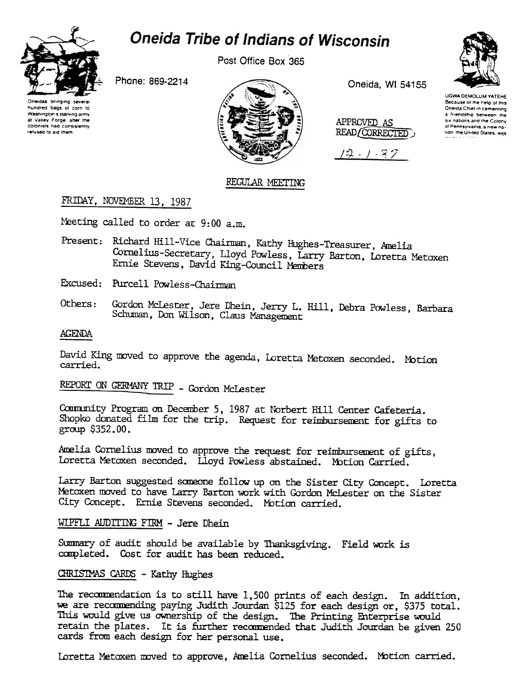

# **Oneida Tribe of Indians of Wisconsin**

Post Office Box 365

Phone: 869-2214

Oneidas bringing several hundred bags of corn to Washington's starving army at Valley Forge, after the colonists had consistently refused to aid them



Oneida, WI 54155

APPROVED AS READ/CORRECTED,

 $12 - 1 - 87$ 

#### **UGWA DEMOLUM YATEHE** Because of the help of this Oneida Chief in cementing a friendship between the six nations and the Colony of Pennsylvania, a new nation, the United States, was

# REGULAR MEETING

# FRIDAY, NOVEMBER 13, 1987

Meeting called to order at 9:00 a.m.

- Present: Richard Hill-Vice Chairman, Kathy Hughes-Treasurer, Amelia Cornelius-Secretary, Lloyd Powless, Larry Barton, Loretta Metoxen Ernie Stevens, David King-Council Members
- Excused: Purcell Powless-Chairman
- Gordon McLester, Jere Dhein, Jerry L. Hill, Debra Powless, Barbara Others: Schuman, Don Wilson, Claus Management

# **AGENDA**

David King moved to approve the agenda, Loretta Metoxen seconded. Motion carried.

REPORT ON GERMANY TRIP - Gordon McLester

Community Program on December 5, 1987 at Norbert Hill Center Cafeteria. Shopko donated film for the trip. Request for reimbursement for gifts to  $group$  \$352.00.

Amelia Cornelius moved to approve the request for reimbursement of gifts, Loretta Metoxen seconded. Lloyd Powless abstained. Motion Carried.

Larry Barton suggested someone follow up on the Sister City Concept. Loretta Metoxen moved to have Larry Barton work with Gordon McLester on the Sister City Concept. Ernie Stevens seconded. Motion carried.

# WIPFLI AUDITING FIRM - Jere Dhein

Summary of audit should be available by Thanksgiving. Field work is completed. Cost for audit has been reduced.

# CHRISTMAS CARDS - Kathy Hughes

The recommendation is to still have 1,500 prints of each design. In addition, we are recommending paying Judith Jourdan \$125 for each design or, \$375 total. This would give us ownership of the design. The Printing Enterprise would retain the plates. It is further recommended that Judith Jourdan be given 250 cards from each design for her personal use.

Loretta Metoxen moved to approve, Amelia Cornelius seconded. Motion carried.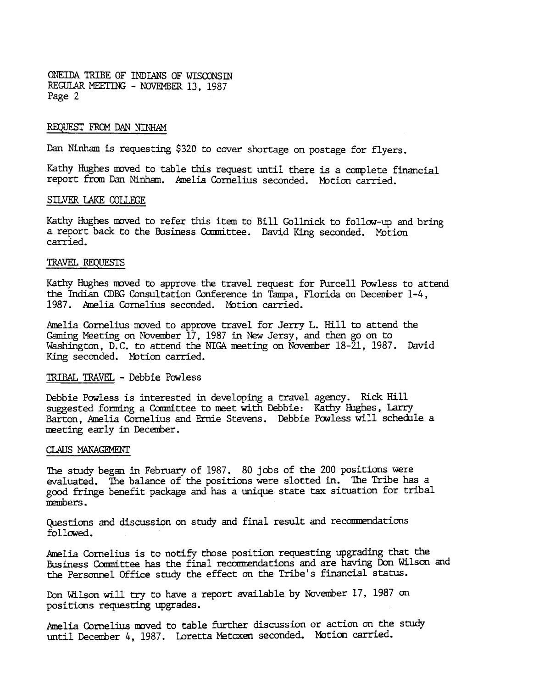ONEIDA TRIBE OF INDIANS OF WISCONSIN REGULAR MEETING - NOVEMBER 13, 1987 Page 2

## REQUEST FROM DAN NINHAM

Dan Ninham is requesting \$320 to cover shortage on postage for flyers.

Kathy Hughes moved to table this request until there is a complete financial report from Dan Ninham. Amelia Cornelius seconded. Motion carried.

### SILVER LAKE COLLEGE

Kathy Hughes moved to refer this item to Bill Gollnick to follow-up and bring a report back to the Business Committee. David King seconded. Motion carried.

#### TRAVEL REQUESTS

Kathy Hughes moved to approve the travel request for Purcell Powless to attend the Indian CDBG Consultation Conference in Tampa, Florida on December 1-4, 1987. Amelia Cornelius seconded. Mbtion carried.

Amelia Cornelius moved to approve travel for Jerry L. Hill to attend the Gaming Meeting on November 17, 1987 in New Jersy, and then go on to Washington, D.C. to attend the NIGA meeting on November 18-21, 1987. David King seconded. Motion carried.

## TRIBAL TRAVEL -Debbie Pavless

Debbie Powless is interested in developing a travel agency. Rick Hill suggested forming a Committee to meet with Debbie: Kathy Hughes, Larry Barton, Amelia Cornelius and Ernie Stevens. Debbie Powless will schedule a meeting early in December.

#### CLAUS MANAGEMENT

The study began in February of 1987. 80 jobs of the 200 positions were evaluated. The balance of the positions were slotted in. The Tribe has a good fringe benefit package and has a unique state tax situation for tribal IIErnhers .

Questions and discussion on study and final result and recommendations followed.

hrelia Cornelius is to notify those position requesting upgrading that the Business Coumittee has the final recommendations and are having Don Wilson and the Personnel Office study the effect on the Tribe's financial status.

Don Wilson will try to have a report available by November 17, 1987 on positions requesting upgrades.

Amelia Cornelius moved to table further discussion or action on the study until December 4. 1987. Loretta Metaxen seconded. MOtion carried.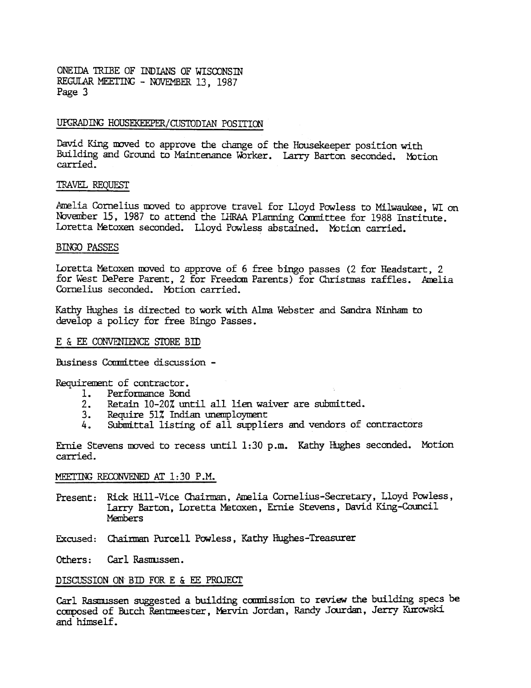ONEIDA TRIBE OF INDIANS OF WISCONSIN REGULAR MEETING - NOVEMBER 13, 1987 Page 3

## UPGRADING HOUSEKEEPER/CUSTODIAN POSITION

David King moved to approve the change of the Housekeeper position with Building and Ground to Maintenance Worker. Larry Barton seconded. Motion carried.

## TRAVEL REQUFSr

Amelia Cornelius moved to approve travel for Lloyd Powless to Milwaukee, WI on November 15, 1987 to attend the LHRAA Planning Committee for 1988 Institute. Loretta Metoxen seconded. Lloyd Powless abstained. Motion carried.

## BINGO PASSES

Loretta Metoxen moved to approve of 6 free bingo passes (2 for Headstart, 2 for West DePere Parent, 2 for Freedom Parents) for Christmas raffles. Amelia Cornelius seconded. Motion carried.

Kathy Hughes is directed to work with Alma Webster and Sandra Ninham to develop a policy for free Bingo Passes.

## E & EE CONVENIENCE STORE BID

fusiness Conmittee discussion -

Requirement of contractor.

- 1. Performance Bond<br>2. Retain 10-20% unt
- Retain 10-20% until all lien waiver are submitted.
- 3. Require 51% Indian unemployment
- 4. Submittal listing of all suppliers and vendors of contractors

Ernie Stevens moved to recess until 1:30 p.m. Kathy Hughes seconded. Motion carried.

# MEETING RECONVENED AT 1:30 P.M.

- Present: Rick Hill-Vice Chairman, Amelia Cornelius-Secretary, Lloyd Powless, Larry Barton, Loretta Metoxen, Ernie Stevens, David King-Council **Members**
- Excused: Chairman Purcell Powless, Kathy Hughes-Treasurer

Others: Carl Rasmissen.

### DISCUSSION ON BID FOR E & EE PROJECT

Carl Rasmussen suggested a building commission to review the building specs be composed of Butch Rentmeester, Mervin Jordan, Randy Jourdan, Jerry Kurowski and himself.